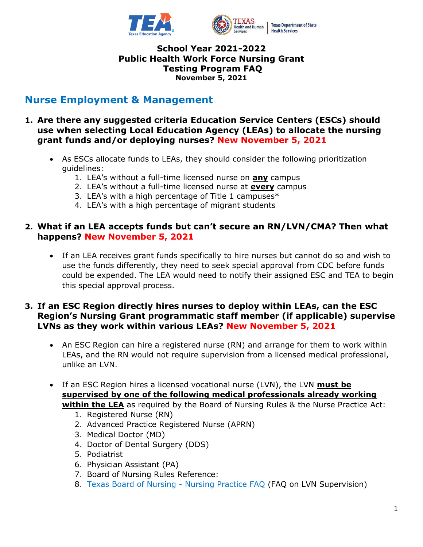

# **Nurse Employment & Management**

- **1. Are there any suggested criteria Education Service Centers (ESCs) should use when selecting Local Education Agency (LEAs) to allocate the nursing grant funds and/or deploying nurses? New November 5, 2021**
	- As ESCs allocate funds to LEAs, they should consider the following prioritization guidelines:
		- 1. LEA's without a full-time licensed nurse on **any** campus
		- 2. LEA's without a full-time licensed nurse at **every** campus
		- 3. LEA's with a high percentage of Title 1 campuses $*$
		- 4. LEA's with a high percentage of migrant students

# **2. What if an LEA accepts funds but can't secure an RN/LVN/CMA? Then what happens? New November 5, 2021**

• If an LEA receives grant funds specifically to hire nurses but cannot do so and wish to use the funds differently, they need to seek special approval from CDC before funds could be expended. The LEA would need to notify their assigned ESC and TEA to begin this special approval process.

## **3. If an ESC Region directly hires nurses to deploy within LEAs, can the ESC Region's Nursing Grant programmatic staff member (if applicable) supervise LVNs as they work within various LEAs? New November 5, 2021**

- An ESC Region can hire a registered nurse (RN) and arrange for them to work within LEAs, and the RN would not require supervision from a licensed medical professional, unlike an LVN.
- If an ESC Region hires a licensed vocational nurse (LVN), the LVN **must be supervised by one of the following medical professionals already working within the LEA** as required by the Board of Nursing Rules & the Nurse Practice Act:
	- 1. Registered Nurse (RN)
	- 2. Advanced Practice Registered Nurse (APRN)
	- 3. Medical Doctor (MD)
	- 4. Doctor of Dental Surgery (DDS)
	- 5. Podiatrist
	- 6. Physician Assistant (PA)
	- 7. Board of Nursing Rules Reference:
	- 8. [Texas Board of Nursing -](https://www.bon.texas.gov/faq_nursing_practice.asp#LVNs%20Supervision%20of%20Practice) Nursing Practice FAQ (FAQ on LVN Supervision)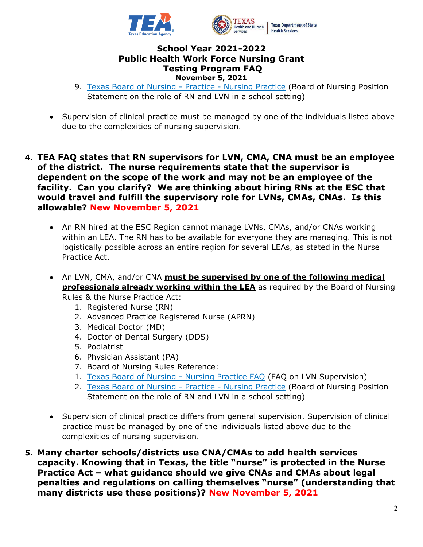

- 9. [Texas Board of Nursing -](https://www.bon.texas.gov/practice_bon_position_statements_content.asp#15.13) Practice Nursing Practice (Board of Nursing Position Statement on the role of RN and LVN in a school setting)
- Supervision of clinical practice must be managed by one of the individuals listed above due to the complexities of nursing supervision.
- **4. TEA FAQ states that RN supervisors for LVN, CMA, CNA must be an employee of the district. The nurse requirements state that the supervisor is dependent on the scope of the work and may not be an employee of the facility. Can you clarify? We are thinking about hiring RNs at the ESC that would travel and fulfill the supervisory role for LVNs, CMAs, CNAs. Is this allowable? New November 5, 2021**
	- An RN hired at the ESC Region cannot manage LVNs, CMAs, and/or CNAs working within an LEA. The RN has to be available for everyone they are managing. This is not logistically possible across an entire region for several LEAs, as stated in the Nurse Practice Act.
	- An LVN, CMA, and/or CNA **must be supervised by one of the following medical professionals already working within the LEA** as required by the Board of Nursing Rules & the Nurse Practice Act:
		- 1. Registered Nurse (RN)
		- 2. Advanced Practice Registered Nurse (APRN)
		- 3. Medical Doctor (MD)
		- 4. Doctor of Dental Surgery (DDS)
		- 5. Podiatrist
		- 6. Physician Assistant (PA)
		- 7. Board of Nursing Rules Reference:
		- 1. [Texas Board of Nursing -](https://www.bon.texas.gov/faq_nursing_practice.asp#LVNs%20Supervision%20of%20Practice) Nursing Practice FAQ (FAQ on LVN Supervision)
		- 2. [Texas Board of Nursing -](https://www.bon.texas.gov/practice_bon_position_statements_content.asp#15.13) Practice Nursing Practice (Board of Nursing Position Statement on the role of RN and LVN in a school setting)
	- Supervision of clinical practice differs from general supervision. Supervision of clinical practice must be managed by one of the individuals listed above due to the complexities of nursing supervision.
- **5. Many charter schools/districts use CNA/CMAs to add health services capacity. Knowing that in Texas, the title "nurse" is protected in the Nurse Practice Act – what guidance should we give CNAs and CMAs about legal penalties and regulations on calling themselves "nurse" (understanding that many districts use these positions)? New November 5, 2021**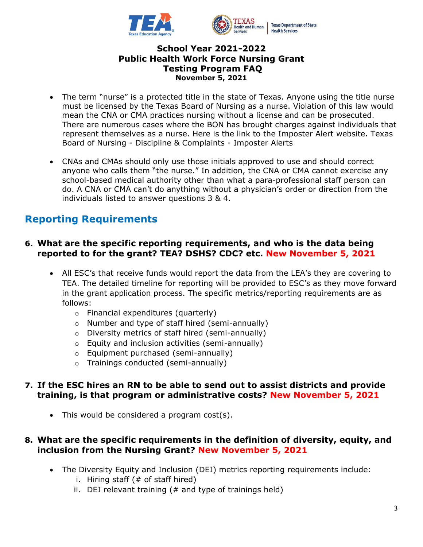

- The term "nurse" is a protected title in the state of Texas. Anyone using the title nurse must be licensed by the Texas Board of Nursing as a nurse. Violation of this law would mean the CNA or CMA practices nursing without a license and can be prosecuted. There are numerous cases where the BON has brought charges against individuals that represent themselves as a nurse. Here is the link to the Imposter Alert website. Texas Board of Nursing - Discipline & Complaints - Imposter Alerts
- CNAs and CMAs should only use those initials approved to use and should correct anyone who calls them "the nurse." In addition, the CNA or CMA cannot exercise any school-based medical authority other than what a para-professional staff person can do. A CNA or CMA can't do anything without a physician's order or direction from the individuals listed to answer questions 3 & 4.

# **Reporting Requirements**

## **6. What are the specific reporting requirements, and who is the data being reported to for the grant? TEA? DSHS? CDC? etc. New November 5, 2021**

- All ESC's that receive funds would report the data from the LEA's they are covering to TEA. The detailed timeline for reporting will be provided to ESC's as they move forward in the grant application process. The specific metrics/reporting requirements are as follows:
	- o Financial expenditures (quarterly)
	- o Number and type of staff hired (semi-annually)
	- o Diversity metrics of staff hired (semi-annually)
	- o Equity and inclusion activities (semi-annually)
	- o Equipment purchased (semi-annually)
	- o Trainings conducted (semi-annually)

# **7. If the ESC hires an RN to be able to send out to assist districts and provide training, is that program or administrative costs? New November 5, 2021**

• This would be considered a program cost(s).

# **8. What are the specific requirements in the definition of diversity, equity, and inclusion from the Nursing Grant? New November 5, 2021**

- The Diversity Equity and Inclusion (DEI) metrics reporting requirements include:
	- i. Hiring staff  $( # of staff hired)$
	- ii. DEI relevant training  $(#$  and type of trainings held)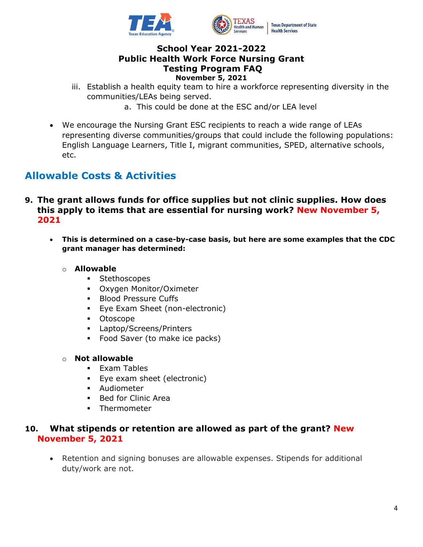

- iii. Establish a health equity team to hire a workforce representing diversity in the communities/LEAs being served.
	- a. This could be done at the ESC and/or LEA level
- We encourage the Nursing Grant ESC recipients to reach a wide range of LEAs representing diverse communities/groups that could include the following populations: English Language Learners, Title I, migrant communities, SPED, alternative schools, etc.

# **Allowable Costs & Activities**

- **9. The grant allows funds for office supplies but not clinic supplies. How does this apply to items that are essential for nursing work? New November 5, 2021**
	- **This is determined on a case-by-case basis, but here are some examples that the CDC grant manager has determined:**

#### o **Allowable**

- Stethoscopes
- Oxygen Monitor/Oximeter
- **Blood Pressure Cuffs**
- Eye Exam Sheet (non-electronic)
- Otoscope
- Laptop/Screens/Printers
- Food Saver (to make ice packs)

#### o **Not allowable**

- Exam Tables
- Eye exam sheet (electronic)
- Audiometer
- Bed for Clinic Area
- **•** Thermometer

## **10. What stipends or retention are allowed as part of the grant? New November 5, 2021**

• Retention and signing bonuses are allowable expenses. Stipends for additional duty/work are not.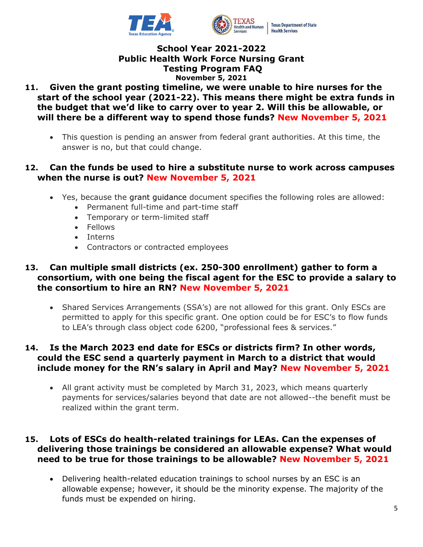

- **11. Given the grant posting timeline, we were unable to hire nurses for the start of the school year (2021-22). This means there might be extra funds in the budget that we'd like to carry over to year 2. Will this be allowable, or will there be a different way to spend those funds? New November 5, 2021**
	- This question is pending an answer from federal grant authorities. At this time, the answer is no, but that could change.

## **12. Can the funds be used to hire a substitute nurse to work across campuses when the nurse is out? New November 5, 2021**

- Yes, because the grant guidance document specifies the following roles are allowed:
	- Permanent full-time and part-time staff
	- Temporary or term-limited staff
	- Fellows
	- Interns
	- Contractors or contracted employees

## **13. Can multiple small districts (ex. 250-300 enrollment) gather to form a consortium, with one being the fiscal agent for the ESC to provide a salary to the consortium to hire an RN? New November 5, 2021**

• Shared Services Arrangements (SSA's) are not allowed for this grant. Only ESCs are permitted to apply for this specific grant. One option could be for ESC's to flow funds to LEA's through class object code 6200, "professional fees & services."

# **14. Is the March 2023 end date for ESCs or districts firm? In other words, could the ESC send a quarterly payment in March to a district that would include money for the RN's salary in April and May? New November 5, 2021**

• All grant activity must be completed by March 31, 2023, which means quarterly payments for services/salaries beyond that date are not allowed--the benefit must be realized within the grant term.

## **15. Lots of ESCs do health-related trainings for LEAs. Can the expenses of delivering those trainings be considered an allowable expense? What would need to be true for those trainings to be allowable? New November 5, 2021**

• Delivering health-related education trainings to school nurses by an ESC is an allowable expense; however, it should be the minority expense. The majority of the funds must be expended on hiring.